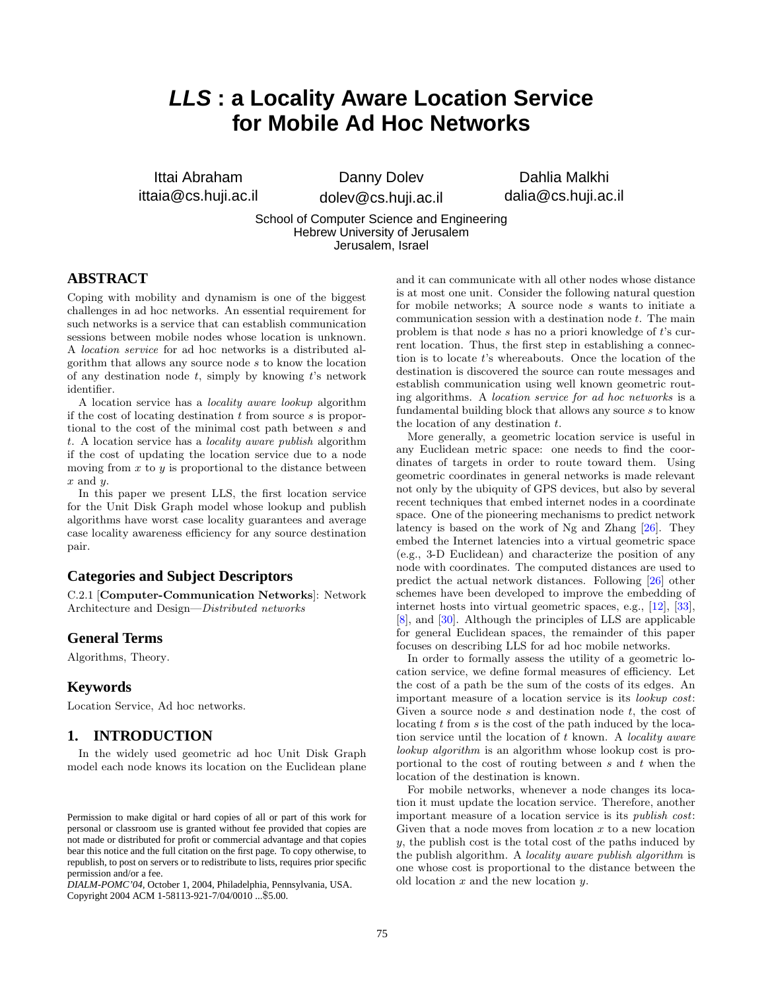# **LLS : a Locality Aware Location Service for Mobile Ad Hoc Networks**

Ittai Abraham ittaia@cs.huji.ac.il

Danny Dolev dolev@cs.huji.ac.il

Dahlia Malkhi dalia@cs.huji.ac.il

School of Computer Science and Engineering Hebrew University of Jerusalem Jerusalem, Israel

# **ABSTRACT**

Coping with mobility and dynamism is one of the biggest challenges in ad hoc networks. An essential requirement for such networks is a service that can establish communication sessions between mobile nodes whose location is unknown. A location service for ad hoc networks is a distributed algorithm that allows any source node s to know the location of any destination node  $t$ , simply by knowing  $t$ 's network identifier.

A location service has a locality aware lookup algorithm if the cost of locating destination  $t$  from source  $s$  is proportional to the cost of the minimal cost path between s and t. A location service has a locality aware publish algorithm if the cost of updating the location service due to a node moving from  $x$  to  $y$  is proportional to the distance between  $x$  and  $y$ .

In this paper we present LLS, the first location service for the Unit Disk Graph model whose lookup and publish algorithms have worst case locality guarantees and average case locality awareness efficiency for any source destination pair.

# **Categories and Subject Descriptors**

C.2.1 [Computer-Communication Networks]: Network Architecture and Design—Distributed networks

# **General Terms**

Algorithms, Theory.

# **Keywords**

Location Service, Ad hoc networks.

# **1. INTRODUCTION**

In the widely used geometric ad hoc Unit Disk Graph model each node knows its location on the Euclidean plane

*DIALM-POMC'04,* October 1, 2004, Philadelphia, Pennsylvania, USA. Copyright 2004 ACM 1-58113-921-7/04/0010 ...\$5.00.

and it can communicate with all other nodes whose distance is at most one unit. Consider the following natural question for mobile networks; A source node s wants to initiate a communication session with a destination node t. The main problem is that node  $s$  has no a priori knowledge of  $t$ 's current location. Thus, the first step in establishing a connection is to locate t's whereabouts. Once the location of the destination is discovered the source can route messages and establish communication using well known geometric routing algorithms. A location service for ad hoc networks is a fundamental building block that allows any source  $s$  to know the location of any destination  $t$ .

More generally, a geometric location service is useful in any Euclidean metric space: one needs to find the coordinates of targets in order to route toward them. Using geometric coordinates in general networks is made relevant not only by the ubiquity of GPS devices, but also by several recent techniques that embed internet nodes in a coordinate space. One of the pioneering mechanisms to predict network latency is based on the work of Ng and Zhang [\[26\]](#page-9-0). They embed the Internet latencies into a virtual geometric space (e.g., 3-D Euclidean) and characterize the position of any node with coordinates. The computed distances are used to predict the actual network distances. Following [\[26\]](#page-9-0) other schemes have been developed to improve the embedding of internet hosts into virtual geometric spaces, e.g., [\[12\]](#page-9-1), [\[33\]](#page-9-2), [\[8\]](#page-9-3), and [\[30\]](#page-9-4). Although the principles of LLS are applicable for general Euclidean spaces, the remainder of this paper focuses on describing LLS for ad hoc mobile networks.

In order to formally assess the utility of a geometric location service, we define formal measures of efficiency. Let the cost of a path be the sum of the costs of its edges. An important measure of a location service is its lookup cost: Given a source node  $s$  and destination node  $t$ , the cost of locating t from s is the cost of the path induced by the location service until the location of  $t$  known. A *locality aware* lookup algorithm is an algorithm whose lookup cost is proportional to the cost of routing between  $s$  and  $t$  when the location of the destination is known.

For mobile networks, whenever a node changes its location it must update the location service. Therefore, another important measure of a location service is its publish cost: Given that a node moves from location  $x$  to a new location y, the publish cost is the total cost of the paths induced by the publish algorithm. A locality aware publish algorithm is one whose cost is proportional to the distance between the old location  $x$  and the new location  $y$ .

Permission to make digital or hard copies of all or part of this work for personal or classroom use is granted without fee provided that copies are not made or distributed for profit or commercial advantage and that copies bear this notice and the full citation on the first page. To copy otherwise, to republish, to post on servers or to redistribute to lists, requires prior specific permission and/or a fee.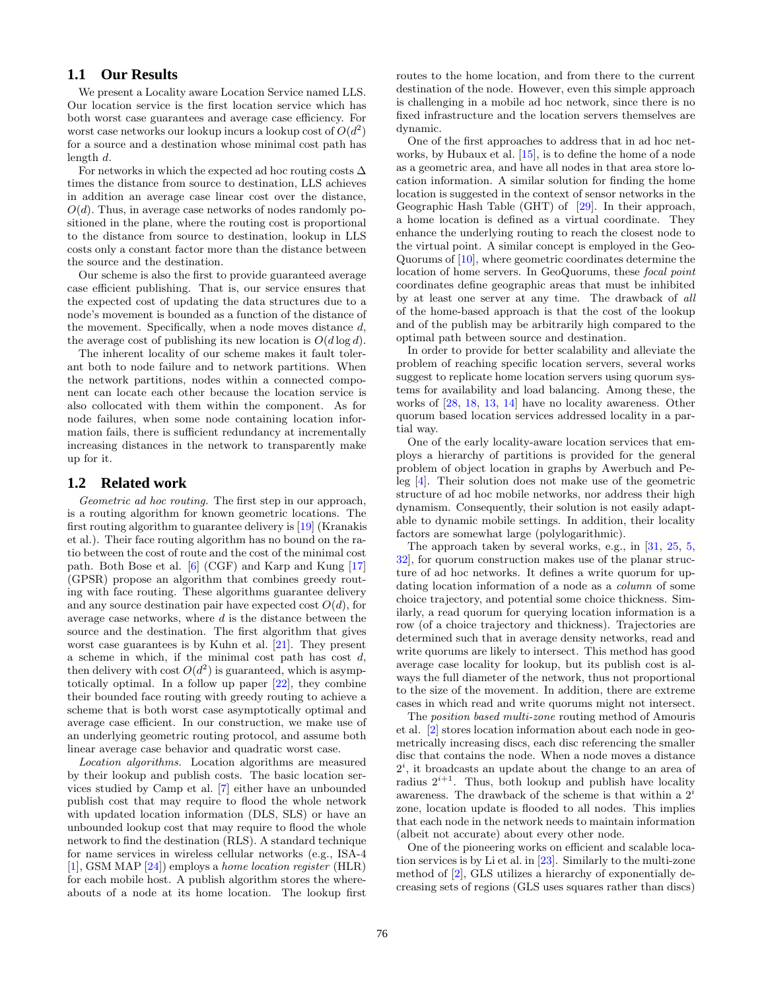# **1.1 Our Results**

We present a Locality aware Location Service named LLS. Our location service is the first location service which has both worst case guarantees and average case efficiency. For worst case networks our lookup incurs a lookup cost of  $O(d^2)$ for a source and a destination whose minimal cost path has length d.

For networks in which the expected ad hoc routing costs  $\Delta$ times the distance from source to destination, LLS achieves in addition an average case linear cost over the distance,  $O(d)$ . Thus, in average case networks of nodes randomly positioned in the plane, where the routing cost is proportional to the distance from source to destination, lookup in LLS costs only a constant factor more than the distance between the source and the destination.

Our scheme is also the first to provide guaranteed average case efficient publishing. That is, our service ensures that the expected cost of updating the data structures due to a node's movement is bounded as a function of the distance of the movement. Specifically, when a node moves distance d, the average cost of publishing its new location is  $O(d \log d)$ .

The inherent locality of our scheme makes it fault tolerant both to node failure and to network partitions. When the network partitions, nodes within a connected component can locate each other because the location service is also collocated with them within the component. As for node failures, when some node containing location information fails, there is sufficient redundancy at incrementally increasing distances in the network to transparently make up for it.

#### **1.2 Related work**

Geometric ad hoc routing. The first step in our approach, is a routing algorithm for known geometric locations. The first routing algorithm to guarantee delivery is [\[19\]](#page-9-5) (Kranakis et al.). Their face routing algorithm has no bound on the ratio between the cost of route and the cost of the minimal cost path. Both Bose et al. [\[6\]](#page-9-6) (CGF) and Karp and Kung [\[17\]](#page-9-7) (GPSR) propose an algorithm that combines greedy routing with face routing. These algorithms guarantee delivery and any source destination pair have expected cost  $O(d)$ , for average case networks, where  $d$  is the distance between the source and the destination. The first algorithm that gives worst case guarantees is by Kuhn et al. [\[21\]](#page-9-8). They present a scheme in which, if the minimal cost path has cost  $d$ , then delivery with cost  $O(d^2)$  is guaranteed, which is asymptotically optimal. In a follow up paper [\[22\]](#page-9-9), they combine their bounded face routing with greedy routing to achieve a scheme that is both worst case asymptotically optimal and average case efficient. In our construction, we make use of an underlying geometric routing protocol, and assume both linear average case behavior and quadratic worst case.

Location algorithms. Location algorithms are measured by their lookup and publish costs. The basic location services studied by Camp et al. [\[7\]](#page-9-10) either have an unbounded publish cost that may require to flood the whole network with updated location information (DLS, SLS) or have an unbounded lookup cost that may require to flood the whole network to find the destination (RLS). A standard technique for name services in wireless cellular networks (e.g., ISA-4 [\[1\]](#page-9-11), GSM MAP [\[24\]](#page-9-12)) employs a home location register (HLR) for each mobile host. A publish algorithm stores the whereabouts of a node at its home location. The lookup first

routes to the home location, and from there to the current destination of the node. However, even this simple approach is challenging in a mobile ad hoc network, since there is no fixed infrastructure and the location servers themselves are dynamic.

One of the first approaches to address that in ad hoc networks, by Hubaux et al. [\[15\]](#page-9-13), is to define the home of a node as a geometric area, and have all nodes in that area store location information. A similar solution for finding the home location is suggested in the context of sensor networks in the Geographic Hash Table (GHT) of [\[29\]](#page-9-14). In their approach, a home location is defined as a virtual coordinate. They enhance the underlying routing to reach the closest node to the virtual point. A similar concept is employed in the Geo-Quorums of [\[10\]](#page-9-15), where geometric coordinates determine the location of home servers. In GeoQuorums, these focal point coordinates define geographic areas that must be inhibited by at least one server at any time. The drawback of all of the home-based approach is that the cost of the lookup and of the publish may be arbitrarily high compared to the optimal path between source and destination.

In order to provide for better scalability and alleviate the problem of reaching specific location servers, several works suggest to replicate home location servers using quorum systems for availability and load balancing. Among these, the works of [\[28,](#page-9-16) [18,](#page-9-17) [13,](#page-9-18) [14\]](#page-9-19) have no locality awareness. Other quorum based location services addressed locality in a partial way.

One of the early locality-aware location services that employs a hierarchy of partitions is provided for the general problem of object location in graphs by Awerbuch and Peleg [\[4\]](#page-9-20). Their solution does not make use of the geometric structure of ad hoc mobile networks, nor address their high dynamism. Consequently, their solution is not easily adaptable to dynamic mobile settings. In addition, their locality factors are somewhat large (polylogarithmic).

The approach taken by several works, e.g., in [\[31,](#page-9-21) [25,](#page-9-22) [5,](#page-9-23) [32\]](#page-9-24), for quorum construction makes use of the planar structure of ad hoc networks. It defines a write quorum for updating location information of a node as a column of some choice trajectory, and potential some choice thickness. Similarly, a read quorum for querying location information is a row (of a choice trajectory and thickness). Trajectories are determined such that in average density networks, read and write quorums are likely to intersect. This method has good average case locality for lookup, but its publish cost is always the full diameter of the network, thus not proportional to the size of the movement. In addition, there are extreme cases in which read and write quorums might not intersect.

The position based multi-zone routing method of Amouris et al. [\[2\]](#page-9-25) stores location information about each node in geometrically increasing discs, each disc referencing the smaller disc that contains the node. When a node moves a distance  $2^i$ , it broadcasts an update about the change to an area of radius  $2^{i+1}$ . Thus, both lookup and publish have locality awareness. The drawback of the scheme is that within a  $2<sup>i</sup>$ zone, location update is flooded to all nodes. This implies that each node in the network needs to maintain information (albeit not accurate) about every other node.

One of the pioneering works on efficient and scalable location services is by Li et al. in [\[23\]](#page-9-26). Similarly to the multi-zone method of [\[2\]](#page-9-25), GLS utilizes a hierarchy of exponentially decreasing sets of regions (GLS uses squares rather than discs)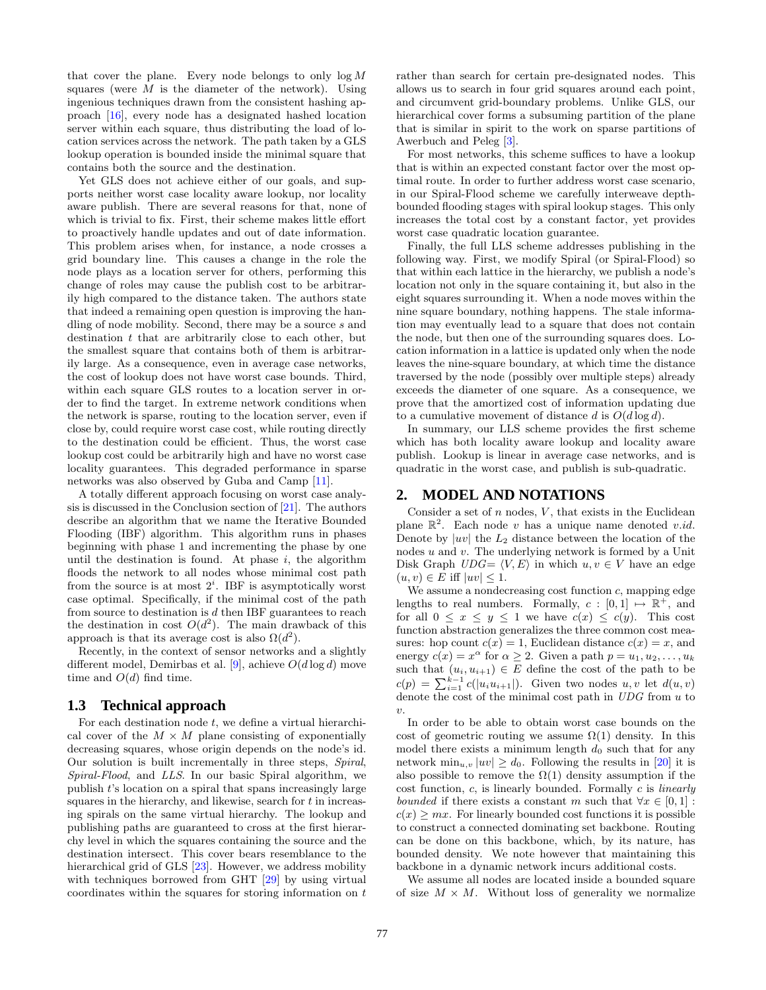that cover the plane. Every node belongs to only  $\log M$ squares (were  $M$  is the diameter of the network). Using ingenious techniques drawn from the consistent hashing approach [\[16\]](#page-9-27), every node has a designated hashed location server within each square, thus distributing the load of location services across the network. The path taken by a GLS lookup operation is bounded inside the minimal square that contains both the source and the destination.

Yet GLS does not achieve either of our goals, and supports neither worst case locality aware lookup, nor locality aware publish. There are several reasons for that, none of which is trivial to fix. First, their scheme makes little effort to proactively handle updates and out of date information. This problem arises when, for instance, a node crosses a grid boundary line. This causes a change in the role the node plays as a location server for others, performing this change of roles may cause the publish cost to be arbitrarily high compared to the distance taken. The authors state that indeed a remaining open question is improving the handling of node mobility. Second, there may be a source s and destination  $t$  that are arbitrarily close to each other, but the smallest square that contains both of them is arbitrarily large. As a consequence, even in average case networks, the cost of lookup does not have worst case bounds. Third, within each square GLS routes to a location server in order to find the target. In extreme network conditions when the network is sparse, routing to the location server, even if close by, could require worst case cost, while routing directly to the destination could be efficient. Thus, the worst case lookup cost could be arbitrarily high and have no worst case locality guarantees. This degraded performance in sparse networks was also observed by Guba and Camp [\[11\]](#page-9-28).

A totally different approach focusing on worst case analysis is discussed in the Conclusion section of [\[21\]](#page-9-8). The authors describe an algorithm that we name the Iterative Bounded Flooding (IBF) algorithm. This algorithm runs in phases beginning with phase 1 and incrementing the phase by one until the destination is found. At phase  $i$ , the algorithm floods the network to all nodes whose minimal cost path from the source is at most  $2^i$ . IBF is asymptotically worst case optimal. Specifically, if the minimal cost of the path from source to destination is  $d$  then IBF guarantees to reach the destination in cost  $O(d^2)$ . The main drawback of this approach is that its average cost is also  $\Omega(d^2)$ .

Recently, in the context of sensor networks and a slightly different model, Demirbas et al. [\[9\]](#page-9-29), achieve  $O(d \log d)$  move time and  $O(d)$  find time.

#### **1.3 Technical approach**

For each destination node  $t$ , we define a virtual hierarchical cover of the  $M \times M$  plane consisting of exponentially decreasing squares, whose origin depends on the node's id. Our solution is built incrementally in three steps, Spiral, Spiral-Flood, and LLS. In our basic Spiral algorithm, we publish t's location on a spiral that spans increasingly large squares in the hierarchy, and likewise, search for  $t$  in increasing spirals on the same virtual hierarchy. The lookup and publishing paths are guaranteed to cross at the first hierarchy level in which the squares containing the source and the destination intersect. This cover bears resemblance to the hierarchical grid of GLS [\[23\]](#page-9-26). However, we address mobility with techniques borrowed from GHT [\[29\]](#page-9-14) by using virtual coordinates within the squares for storing information on t

rather than search for certain pre-designated nodes. This allows us to search in four grid squares around each point, and circumvent grid-boundary problems. Unlike GLS, our hierarchical cover forms a subsuming partition of the plane that is similar in spirit to the work on sparse partitions of Awerbuch and Peleg [\[3\]](#page-9-30).

For most networks, this scheme suffices to have a lookup that is within an expected constant factor over the most optimal route. In order to further address worst case scenario, in our Spiral-Flood scheme we carefully interweave depthbounded flooding stages with spiral lookup stages. This only increases the total cost by a constant factor, yet provides worst case quadratic location guarantee.

Finally, the full LLS scheme addresses publishing in the following way. First, we modify Spiral (or Spiral-Flood) so that within each lattice in the hierarchy, we publish a node's location not only in the square containing it, but also in the eight squares surrounding it. When a node moves within the nine square boundary, nothing happens. The stale information may eventually lead to a square that does not contain the node, but then one of the surrounding squares does. Location information in a lattice is updated only when the node leaves the nine-square boundary, at which time the distance traversed by the node (possibly over multiple steps) already exceeds the diameter of one square. As a consequence, we prove that the amortized cost of information updating due to a cumulative movement of distance d is  $O(d \log d)$ .

In summary, our LLS scheme provides the first scheme which has both locality aware lookup and locality aware publish. Lookup is linear in average case networks, and is quadratic in the worst case, and publish is sub-quadratic.

# **2. MODEL AND NOTATIONS**

Consider a set of  $n$  nodes,  $V$ , that exists in the Euclidean plane  $\mathbb{R}^2$ . Each node v has a unique name denoted v.id. Denote by  $|uv|$  the  $L_2$  distance between the location of the nodes  $u$  and  $v$ . The underlying network is formed by a Unit Disk Graph  $UDG = \langle V, E \rangle$  in which  $u, v \in V$  have an edge  $(u, v) \in E$  iff  $|uv| \leq 1$ .

We assume a nondecreasing cost function  $c$ , mapping edge lengths to real numbers. Formally,  $c : [0,1] \mapsto \mathbb{R}^+$ , and for all  $0 \leq x \leq y \leq 1$  we have  $c(x) \leq c(y)$ . This cost function abstraction generalizes the three common cost measures: hop count  $c(x) = 1$ , Euclidean distance  $c(x) = x$ , and energy  $c(x) = x^{\alpha}$  for  $\alpha \ge 2$ . Given a path  $p = u_1, u_2, \ldots, u_k$ such that  $(u_i, u_{i+1}) \in E$  define the cost of the path to be  $c(p) = \sum_{i=1}^{k-1} c(|u_i u_{i+1}|)$ . Given two nodes  $u, v$  let  $d(u, v)$ denote the cost of the minimal cost path in  $UDG$  from  $u$  to  $\upsilon$ .

In order to be able to obtain worst case bounds on the cost of geometric routing we assume  $\Omega(1)$  density. In this model there exists a minimum length  $d_0$  such that for any network  $\min_{u,v} |uv| \geq d_0$ . Following the results in [\[20\]](#page-9-31) it is also possible to remove the  $\Omega(1)$  density assumption if the cost function,  $c$ , is linearly bounded. Formally  $c$  is *linearly* bounded if there exists a constant m such that  $\forall x \in [0,1]$ :  $c(x) \geq mx$ . For linearly bounded cost functions it is possible to construct a connected dominating set backbone. Routing can be done on this backbone, which, by its nature, has bounded density. We note however that maintaining this backbone in a dynamic network incurs additional costs.

We assume all nodes are located inside a bounded square of size  $M \times M$ . Without loss of generality we normalize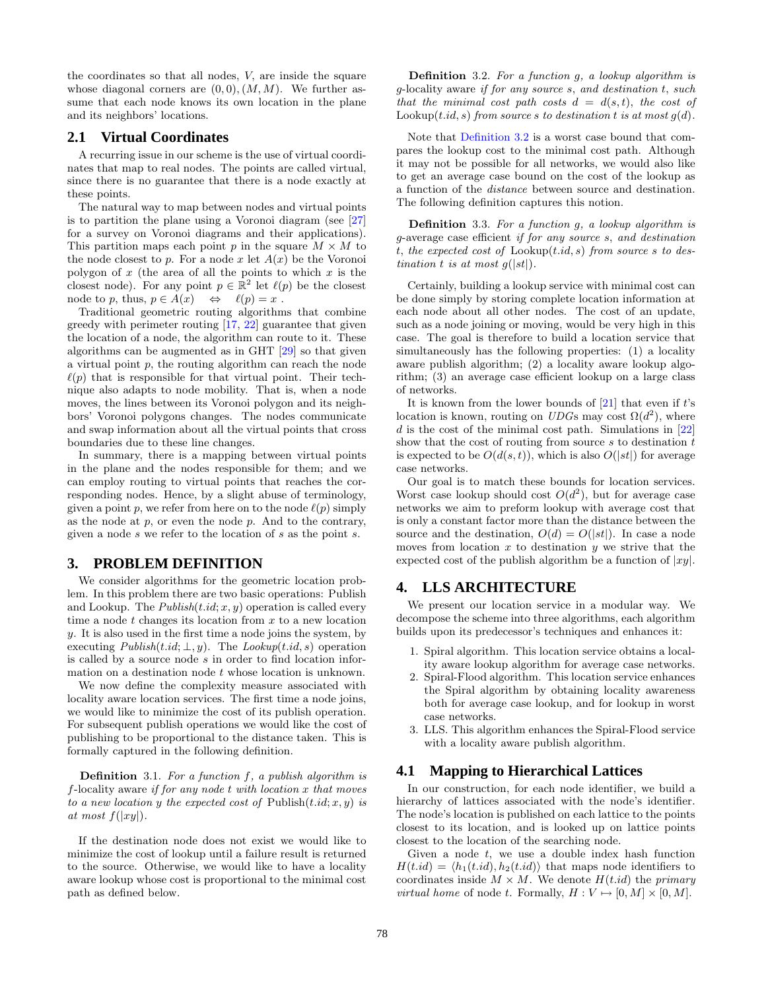the coordinates so that all nodes, V, are inside the square whose diagonal corners are  $(0,0)$ ,  $(M, M)$ . We further assume that each node knows its own location in the plane and its neighbors' locations.

# **2.1 Virtual Coordinates**

A recurring issue in our scheme is the use of virtual coordinates that map to real nodes. The points are called virtual, since there is no guarantee that there is a node exactly at these points.

The natural way to map between nodes and virtual points is to partition the plane using a Voronoi diagram (see [\[27\]](#page-9-32) for a survey on Voronoi diagrams and their applications). This partition maps each point p in the square  $M \times M$  to the node closest to p. For a node x let  $A(x)$  be the Voronoi polygon of  $x$  (the area of all the points to which  $x$  is the closest node). For any point  $p \in \mathbb{R}^2$  let  $\ell(p)$  be the closest node to p, thus,  $p \in A(x) \iff \ell(p) = x$ .

Traditional geometric routing algorithms that combine greedy with perimeter routing [\[17,](#page-9-7) [22\]](#page-9-9) guarantee that given the location of a node, the algorithm can route to it. These algorithms can be augmented as in GHT [\[29\]](#page-9-14) so that given a virtual point  $p$ , the routing algorithm can reach the node  $\ell(p)$  that is responsible for that virtual point. Their technique also adapts to node mobility. That is, when a node moves, the lines between its Voronoi polygon and its neighbors' Voronoi polygons changes. The nodes communicate and swap information about all the virtual points that cross boundaries due to these line changes.

In summary, there is a mapping between virtual points in the plane and the nodes responsible for them; and we can employ routing to virtual points that reaches the corresponding nodes. Hence, by a slight abuse of terminology, given a point p, we refer from here on to the node  $\ell(p)$  simply as the node at  $p$ , or even the node  $p$ . And to the contrary, given a node  $s$  we refer to the location of  $s$  as the point  $s$ .

# **3. PROBLEM DEFINITION**

We consider algorithms for the geometric location problem. In this problem there are two basic operations: Publish and Lookup. The  $Published(t.id; x, y)$  operation is called every time a node  $t$  changes its location from  $x$  to a new location y. It is also used in the first time a node joins the system, by executing  $Published(t.id; \perp, y)$ . The  $Lookup(t.id, s)$  operation is called by a source node s in order to find location information on a destination node t whose location is unknown.

We now define the complexity measure associated with locality aware location services. The first time a node joins, we would like to minimize the cost of its publish operation. For subsequent publish operations we would like the cost of publishing to be proportional to the distance taken. This is formally captured in the following definition.

**Definition** 3.1. For a function  $f$ , a publish algorithm is f-locality aware if for any node  $t$  with location  $x$  that moves to a new location y the expected cost of Publish $(t.id; x, y)$  is at most  $f(|xy|)$ .

<span id="page-3-0"></span>If the destination node does not exist we would like to minimize the cost of lookup until a failure result is returned to the source. Otherwise, we would like to have a locality aware lookup whose cost is proportional to the minimal cost path as defined below.

Definition 3.2. For a function g, a lookup algorithm is g-locality aware if for any source s, and destination t, such that the minimal cost path costs  $d = d(s,t)$ , the cost of Lookup $(t.id, s)$  from source s to destination t is at most  $q(d)$ .

Note that [Definition 3.2](#page-3-0) is a worst case bound that compares the lookup cost to the minimal cost path. Although it may not be possible for all networks, we would also like to get an average case bound on the cost of the lookup as a function of the distance between source and destination. The following definition captures this notion.

Definition 3.3. For a function g, a lookup algorithm is g-average case efficient if for any source s, and destination t, the expected cost of  $Loop(t.id, s)$  from source s to destination t is at most  $q(|st|)$ .

Certainly, building a lookup service with minimal cost can be done simply by storing complete location information at each node about all other nodes. The cost of an update, such as a node joining or moving, would be very high in this case. The goal is therefore to build a location service that simultaneously has the following properties: (1) a locality aware publish algorithm; (2) a locality aware lookup algorithm; (3) an average case efficient lookup on a large class of networks.

It is known from the lower bounds of  $[21]$  that even if t's location is known, routing on  $UDG$ s may cost  $\Omega(d^2)$ , where  $d$  is the cost of the minimal cost path. Simulations in [\[22\]](#page-9-9) show that the cost of routing from source s to destination t is expected to be  $O(d(s,t))$ , which is also  $O(|st|)$  for average case networks.

Our goal is to match these bounds for location services. Worst case lookup should cost  $O(d^2)$ , but for average case networks we aim to preform lookup with average cost that is only a constant factor more than the distance between the source and the destination,  $O(d) = O(|st|)$ . In case a node moves from location x to destination  $y$  we strive that the expected cost of the publish algorithm be a function of  $|xy|$ .

# **4. LLS ARCHITECTURE**

We present our location service in a modular way. We decompose the scheme into three algorithms, each algorithm builds upon its predecessor's techniques and enhances it:

- 1. Spiral algorithm. This location service obtains a locality aware lookup algorithm for average case networks.
- 2. Spiral-Flood algorithm. This location service enhances the Spiral algorithm by obtaining locality awareness both for average case lookup, and for lookup in worst case networks.
- 3. LLS. This algorithm enhances the Spiral-Flood service with a locality aware publish algorithm.

# **4.1 Mapping to Hierarchical Lattices**

In our construction, for each node identifier, we build a hierarchy of lattices associated with the node's identifier. The node's location is published on each lattice to the points closest to its location, and is looked up on lattice points closest to the location of the searching node.

Given a node  $t$ , we use a double index hash function  $H(t.id) = \langle h_1(t.id), h_2(t.id) \rangle$  that maps node identifiers to coordinates inside  $M \times M$ . We denote  $H(t.id)$  the primary *virtual home* of node t. Formally,  $H: V \mapsto [0, M] \times [0, M]$ .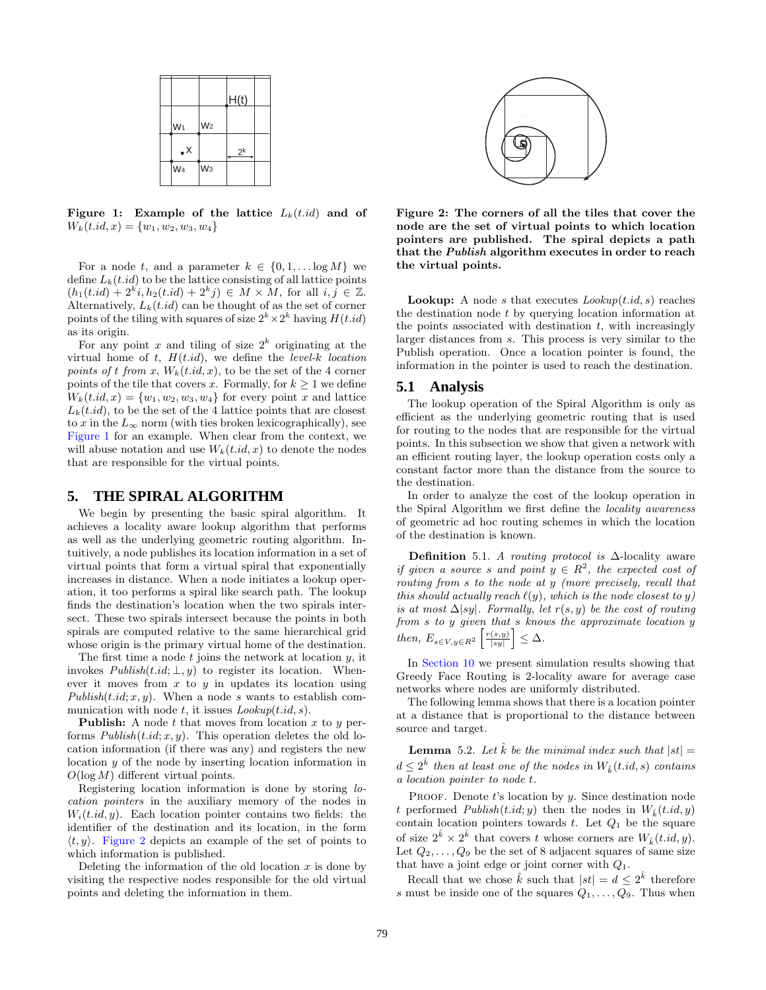|                 |                | H(t)  |  |
|-----------------|----------------|-------|--|
| W <sub>1</sub>  | W <sub>2</sub> |       |  |
| $\cdot^{\sf x}$ |                | $2^k$ |  |
| W <sub>4</sub>  | W <sub>3</sub> |       |  |

<span id="page-4-0"></span>Figure 1: Example of the lattice  $L_k(t.id)$  and of  $W_k(t.id, x) = \{w_1, w_2, w_3, w_4\}$ 

For a node t, and a parameter  $k \in \{0, 1, \ldots \log M\}$  we define  $L_k(t.id)$  to be the lattice consisting of all lattice points  $(h_1(t.id) + 2^k i, h_2(t.id) + 2^k j) \in M \times M$ , for all  $i, j \in \mathbb{Z}$ . Alternatively,  $L_k(t.id)$  can be thought of as the set of corner points of the tiling with squares of size  $2^k \times 2^k$  having  $H(t.id)$ as its origin.

For any point x and tiling of size  $2^k$  originating at the virtual home of  $t$ ,  $H(t.id)$ , we define the *level-k location* points of t from x,  $W_k(t.id, x)$ , to be the set of the 4 corner points of the tile that covers x. Formally, for  $k \geq 1$  we define  $W_k(t.id, x) = \{w_1, w_2, w_3, w_4\}$  for every point x and lattice  $L_k(t.id)$ , to be the set of the 4 lattice points that are closest to x in the  $L_{\infty}$  norm (with ties broken lexicographically), see [Figure 1](#page-4-0) for an example. When clear from the context, we will abuse notation and use  $W_k(t, id, x)$  to denote the nodes that are responsible for the virtual points.

#### **5. THE SPIRAL ALGORITHM**

We begin by presenting the basic spiral algorithm. It achieves a locality aware lookup algorithm that performs as well as the underlying geometric routing algorithm. Intuitively, a node publishes its location information in a set of virtual points that form a virtual spiral that exponentially increases in distance. When a node initiates a lookup operation, it too performs a spiral like search path. The lookup finds the destination's location when the two spirals intersect. These two spirals intersect because the points in both spirals are computed relative to the same hierarchical grid whose origin is the primary virtual home of the destination.

The first time a node  $t$  joins the network at location  $y$ , it invokes  $Published(t.id; \perp, y)$  to register its location. Whenever it moves from  $x$  to  $y$  in updates its location using Publish $(t.id; x, y)$ . When a node s wants to establish communication with node t, it issues  $Lookup(t.id, s)$ .

**Publish:** A node t that moves from location x to y performs  $Published(t.id; x, y)$ . This operation deletes the old location information (if there was any) and registers the new location y of the node by inserting location information in  $O(\log M)$  different virtual points.

Registering location information is done by storing location pointers in the auxiliary memory of the nodes in  $W_i(t.id, y)$ . Each location pointer contains two fields: the identifier of the destination and its location, in the form  $\langle t, y \rangle$ . [Figure 2](#page-4-1) depicts an example of the set of points to which information is published.

Deleting the information of the old location  $x$  is done by visiting the respective nodes responsible for the old virtual points and deleting the information in them.



<span id="page-4-1"></span>Figure 2: The corners of all the tiles that cover the node are the set of virtual points to which location pointers are published. The spiral depicts a path that the Publish algorithm executes in order to reach the virtual points.

**Lookup:** A node s that executes  $Lookup(t.id, s)$  reaches the destination node t by querying location information at the points associated with destination  $t$ , with increasingly larger distances from s. This process is very similar to the Publish operation. Once a location pointer is found, the information in the pointer is used to reach the destination.

#### **5.1 Analysis**

The lookup operation of the Spiral Algorithm is only as efficient as the underlying geometric routing that is used for routing to the nodes that are responsible for the virtual points. In this subsection we show that given a network with an efficient routing layer, the lookup operation costs only a constant factor more than the distance from the source to the destination.

In order to analyze the cost of the lookup operation in the Spiral Algorithm we first define the locality awareness of geometric ad hoc routing schemes in which the location of the destination is known.

Definition 5.1. A routing protocol is  $\Delta$ -locality aware if given a source s and point  $y \in R^2$ , the expected cost of routing from s to the node at y (more precisely, recall that this should actually reach  $\ell(y)$ , which is the node closest to y) is at most  $\Delta|sy|$ . Formally, let  $r(s, y)$  be the cost of routing from s to y given that s knows the approximate location y then,  $E_{s \in V, y \in R^2} \left[ \frac{r(s, y)}{|s y|} \right] \leq \Delta$ .

In [Section 10](#page-8-0) we present simulation results showing that Greedy Face Routing is 2-locality aware for average case networks where nodes are uniformly distributed.

The following lemma shows that there is a location pointer at a distance that is proportional to the distance between source and target.

<span id="page-4-2"></span>**Lemma** 5.2. Let  $\hat{k}$  be the minimal index such that  $|st|$  =  $d \leq 2^{\hat{k}}$  then at least one of the nodes in  $W_{\hat{k}}(t.id, s)$  contains a location pointer to node t.

PROOF. Denote  $t$ 's location by  $y$ . Since destination node t performed  $Published(t.id; y)$  then the nodes in  $W<sub>k</sub>(t.id, y)$ contain location pointers towards  $t$ . Let  $Q_1$  be the square of size  $2^{\hat{k}} \times 2^{\hat{k}}$  that covers t whose corners are  $W_{\hat{k}}(t.id, y)$ . Let  $Q_2, \ldots, Q_9$  be the set of 8 adjacent squares of same size that have a joint edge or joint corner with  $Q_1$ .

Recall that we chose  $\hat{k}$  such that  $|st| = d \leq 2^{\hat{k}}$  therefore s must be inside one of the squares  $Q_1, \ldots, Q_9$ . Thus when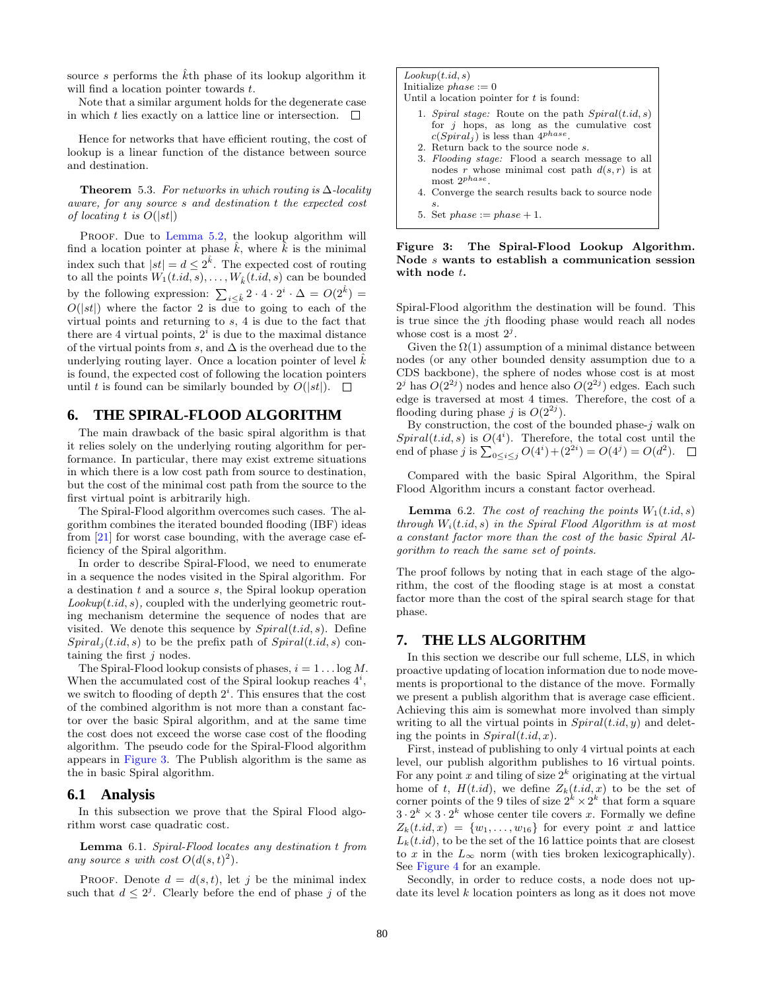source s performs the  $\hat{k}$ th phase of its lookup algorithm it will find a location pointer towards t.

Note that a similar argument holds for the degenerate case in which t lies exactly on a lattice line or intersection.  $\Box$ 

Hence for networks that have efficient routing, the cost of lookup is a linear function of the distance between source and destination.

**Theorem** 5.3. For networks in which routing is  $\Delta$ -locality aware, for any source s and destination t the expected cost of locating t is  $O(|st|)$ 

PROOF. Due to [Lemma 5.2,](#page-4-2) the lookup algorithm will find a location pointer at phase  $k$ , where  $k$  is the minimal index such that  $|st| = d \leq 2^{\hat{k}}$ . The expected cost of routing to all the points  $W_1(t.id, s), \ldots, W_{\hat{k}}(t.id, s)$  can be bounded by the following expression:  $\sum_{i \leq \hat{k}} 2 \cdot 4 \cdot 2^i \cdot \Delta = O(2^{\hat{k}})$  $O(|st|)$  where the factor 2 is due to going to each of the virtual points and returning to s, 4 is due to the fact that there are 4 virtual points,  $2^i$  is due to the maximal distance of the virtual points from s, and  $\Delta$  is the overhead due to the underlying routing layer. Once a location pointer of level  $k$ is found, the expected cost of following the location pointers until t is found can be similarly bounded by  $O(|st|)$ .  $\Box$ 

# **6. THE SPIRAL-FLOOD ALGORITHM**

The main drawback of the basic spiral algorithm is that it relies solely on the underlying routing algorithm for performance. In particular, there may exist extreme situations in which there is a low cost path from source to destination, but the cost of the minimal cost path from the source to the first virtual point is arbitrarily high.

The Spiral-Flood algorithm overcomes such cases. The algorithm combines the iterated bounded flooding (IBF) ideas from [\[21\]](#page-9-8) for worst case bounding, with the average case efficiency of the Spiral algorithm.

In order to describe Spiral-Flood, we need to enumerate in a sequence the nodes visited in the Spiral algorithm. For a destination  $t$  and a source  $s$ , the Spiral lookup operation  $Lookup(t.id, s)$ , coupled with the underlying geometric routing mechanism determine the sequence of nodes that are visited. We denote this sequence by  $Spiral(t.id, s)$ . Define  $Spiral<sub>i</sub>(t.id, s)$  to be the prefix path of  $Spiral(t.id, s)$  containing the first j nodes.

The Spiral-Flood lookup consists of phases,  $i = 1 \dots \log M$ . When the accumulated cost of the Spiral lookup reaches  $4^i$ , we switch to flooding of depth  $2^i$ . This ensures that the cost of the combined algorithm is not more than a constant factor over the basic Spiral algorithm, and at the same time the cost does not exceed the worse case cost of the flooding algorithm. The pseudo code for the Spiral-Flood algorithm appears in [Figure 3.](#page-5-0) The Publish algorithm is the same as the in basic Spiral algorithm.

### **6.1 Analysis**

In this subsection we prove that the Spiral Flood algorithm worst case quadratic cost.

Lemma 6.1. Spiral-Flood locates any destination t from any source s with cost  $O(d(s,t)^2)$ .

PROOF. Denote  $d = d(s, t)$ , let j be the minimal index such that  $d \leq 2^j$ . Clearly before the end of phase j of the

 $Lookup(t.id, s)$ Initialize  $phase := 0$ 

Until a location pointer for  $t$  is found:

- 1. Spiral stage: Route on the path  $Spiral(t.id, s)$ for *j* hops, as long as the cumulative cost  $c(Spiral_j)$  is less than  $4^{phase}$ .
- 2. Return back to the source node s.
- 3. Flooding stage: Flood a search message to all nodes r whose minimal cost path  $d(s, r)$  is at most  $2^{phase}$ .
- 4. Converge the search results back to source node s.
- <span id="page-5-0"></span>5. Set  $phase := phase + 1$ .

#### Figure 3: The Spiral-Flood Lookup Algorithm. Node s wants to establish a communication session with node t.

Spiral-Flood algorithm the destination will be found. This is true since the jth flooding phase would reach all nodes whose cost is a most  $2^j$ .

Given the  $\Omega(1)$  assumption of a minimal distance between nodes (or any other bounded density assumption due to a CDS backbone), the sphere of nodes whose cost is at most  $2^{j}$  has  $O(2^{2j})$  nodes and hence also  $O(2^{2j})$  edges. Each such edge is traversed at most 4 times. Therefore, the cost of a flooding during phase j is  $O(2^{2j})$ .

By construction, the cost of the bounded phase- $j$  walk on  $Spiral(t.id, s)$  is  $O(4<sup>i</sup>)$ . Therefore, the total cost until the end of phase j is  $\sum_{0 \le i \le j} O(4^i) + (2^{2i}) = O(4^j) = O(d^2)$ .

Compared with the basic Spiral Algorithm, the Spiral Flood Algorithm incurs a constant factor overhead.

**Lemma** 6.2. The cost of reaching the points  $W_1(t.id, s)$ through  $W_i(t.id, s)$  in the Spiral Flood Algorithm is at most a constant factor more than the cost of the basic Spiral Algorithm to reach the same set of points.

The proof follows by noting that in each stage of the algorithm, the cost of the flooding stage is at most a constat factor more than the cost of the spiral search stage for that phase.

# **7. THE LLS ALGORITHM**

In this section we describe our full scheme, LLS, in which proactive updating of location information due to node movements is proportional to the distance of the move. Formally we present a publish algorithm that is average case efficient. Achieving this aim is somewhat more involved than simply writing to all the virtual points in  $Spiral(t.id, y)$  and deleting the points in  $Spiral(t.id, x)$ .

First, instead of publishing to only 4 virtual points at each level, our publish algorithm publishes to 16 virtual points. For any point x and tiling of size  $2^k$  originating at the virtual home of t,  $H(t.id)$ , we define  $Z_k(t.id, x)$  to be the set of corner points of the 9 tiles of size  $2^k \times 2^k$  that form a square  $3 \cdot 2^k \times 3 \cdot 2^k$  whose center tile covers x. Formally we define  $Z_k(t.id, x) = \{w_1, \ldots, w_{16}\}\$ for every point x and lattice  $L_k(t.id)$ , to be the set of the 16 lattice points that are closest to x in the  $L_{\infty}$  norm (with ties broken lexicographically). See [Figure 4](#page-6-0) for an example.

Secondly, in order to reduce costs, a node does not update its level  $k$  location pointers as long as it does not move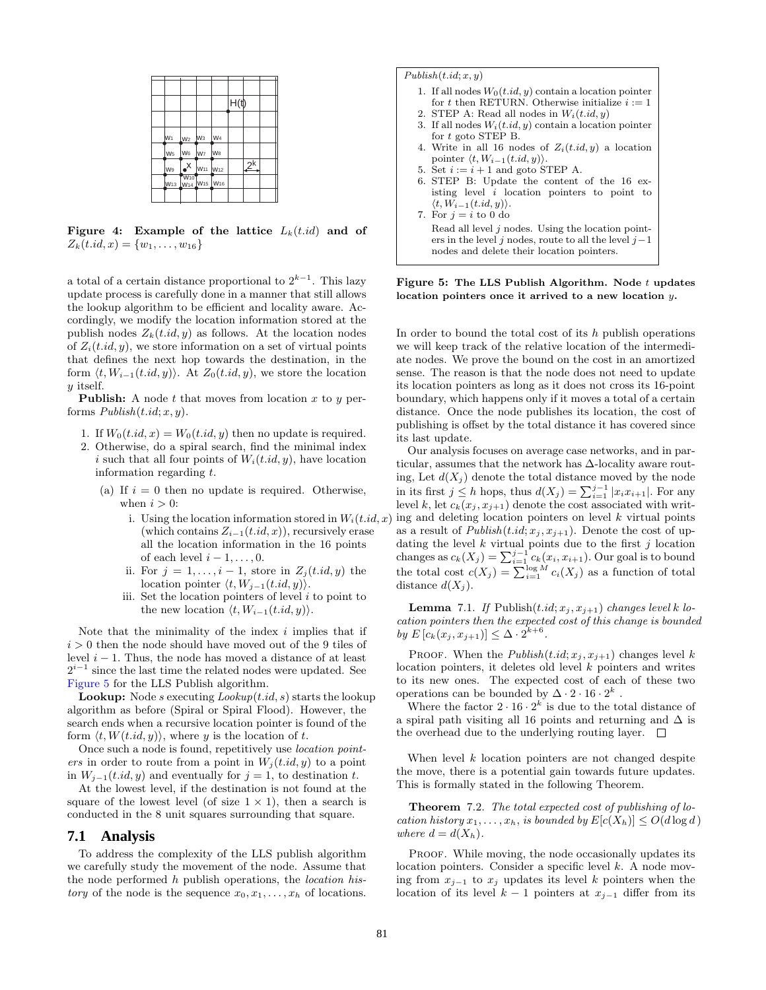|                |                                                                          |                                 |                 | H(t) |    |  |
|----------------|--------------------------------------------------------------------------|---------------------------------|-----------------|------|----|--|
|                |                                                                          |                                 |                 |      |    |  |
| W1             | $W2$ $W3$                                                                |                                 | W <sub>4</sub>  |      |    |  |
| W <sub>5</sub> | W6 W7                                                                    |                                 | W <sub>8</sub>  |      |    |  |
| W9             | $\mathsf{X}$                                                             | W <sub>11</sub> W <sub>12</sub> |                 |      | 2k |  |
|                | <b>W<sub>10</sub></b><br>W <sub>13</sub> W <sub>14</sub> W <sub>15</sub> |                                 | W <sub>16</sub> |      |    |  |
|                |                                                                          |                                 |                 |      |    |  |

<span id="page-6-0"></span>Figure 4: Example of the lattice  $L_k(t.id)$  and of  $Z_k(t.id, x) = \{w_1, \ldots, w_{16}\}\$ 

a total of a certain distance proportional to  $2^{k-1}$ . This lazy update process is carefully done in a manner that still allows the lookup algorithm to be efficient and locality aware. Accordingly, we modify the location information stored at the publish nodes  $Z_k(t.id, y)$  as follows. At the location nodes of  $Z_i(t.id, y)$ , we store information on a set of virtual points that defines the next hop towards the destination, in the form  $\langle t, W_{i-1}(t.id, y) \rangle$ . At  $Z_0(t.id, y)$ , we store the location y itself.

**Publish:** A node  $t$  that moves from location  $x$  to  $y$  performs  $Publish(t.id; x, y)$ .

- 1. If  $W_0(t.id, x) = W_0(t.id, y)$  then no update is required.
- 2. Otherwise, do a spiral search, find the minimal index i such that all four points of  $W_i(t.id, y)$ , have location information regarding t.
	- (a) If  $i = 0$  then no update is required. Otherwise, when  $i > 0$ :
		- i. Using the location information stored in  $W_i(t, id, x)$ (which contains  $Z_{i-1}(t.id, x)$ ), recursively erase all the location information in the 16 points of each level  $i-1, \ldots, 0$ .
		- ii. For  $j = 1, \ldots, i 1$ , store in  $Z_i(t.id, y)$  the location pointer  $\langle t, W_{j-1}(t.id, y) \rangle$ .
		- iii. Set the location pointers of level  $i$  to point to the new location  $\langle t, W_{i-1}(t.id, y) \rangle$ .

Note that the minimality of the index  $i$  implies that if  $i > 0$  then the node should have moved out of the 9 tiles of level  $i - 1$ . Thus, the node has moved a distance of at least  $2^{i-1}$  since the last time the related nodes were updated. See [Figure 5](#page-6-1) for the LLS Publish algorithm.

**Lookup:** Node s executing  $Looking(t.id, s)$  starts the lookup algorithm as before (Spiral or Spiral Flood). However, the search ends when a recursive location pointer is found of the form  $\langle t, W(t.id, y) \rangle$ , where y is the location of t.

Once such a node is found, repetitively use location pointers in order to route from a point in  $W_i(t.id, y)$  to a point in  $W_{i-1}(t.id, y)$  and eventually for  $j = 1$ , to destination t.

At the lowest level, if the destination is not found at the square of the lowest level (of size  $1 \times 1$ ), then a search is conducted in the 8 unit squares surrounding that square.

#### **7.1 Analysis**

To address the complexity of the LLS publish algorithm we carefully study the movement of the node. Assume that the node performed h publish operations, the location his*tory* of the node is the sequence  $x_0, x_1, \ldots, x_h$  of locations.

#### $Publish(t.id; x, y)$

- 1. If all nodes  $W_0(t.id, y)$  contain a location pointer for t then RETURN. Otherwise initialize  $i := 1$
- 2. STEP A: Read all nodes in  $W_i(t.id, y)$
- If all nodes  $W_i(t.id, y)$  contain a location pointer for t goto STEP B.
- 4. Write in all 16 nodes of  $Z_i(t.id, y)$  a location pointer  $\langle t, W_{i-1}(t.id, y) \rangle$ .
- 5. Set  $i := i + 1$  and goto STEP A.
- 6. STEP B: Update the content of the 16 existing level  $i$  location pointers to point to  $\langle t, W_{i-1}(t.id, y) \rangle$ .

7. For  $j = i$  to 0 do Read all level  $j$  nodes. Using the location pointers in the level j nodes, route to all the level  $j-1$ nodes and delete their location pointers.

<span id="page-6-1"></span>Figure 5: The LLS Publish Algorithm. Node  $t$  updates location pointers once it arrived to a new location y.

In order to bound the total cost of its  $h$  publish operations we will keep track of the relative location of the intermediate nodes. We prove the bound on the cost in an amortized sense. The reason is that the node does not need to update its location pointers as long as it does not cross its 16-point boundary, which happens only if it moves a total of a certain distance. Once the node publishes its location, the cost of publishing is offset by the total distance it has covered since its last update.

Our analysis focuses on average case networks, and in particular, assumes that the network has ∆-locality aware routing, Let  $d(X_j)$  denote the total distance moved by the node in its first  $j \leq h$  hops, thus  $d(X_j) = \sum_{i=1}^{j-1} |x_i x_{i+1}|$ . For any level k, let  $c_k(x_j, x_{j+1})$  denote the cost associated with writing and deleting location pointers on level  $k$  virtual points as a result of  $Published(t.id; x_j, x_{j+1})$ . Denote the cost of updating the level  $k$  virtual points due to the first  $j$  location changes as  $c_k(X_j) = \sum_{i=1}^{j-1} c_k(x_i, x_{i+1})$ . Our goal is to bound the total cost  $c(X_j) = \sum_{i=1}^{\log M} c_i(X_j)$  as a function of total distance  $d(X_i)$ .

<span id="page-6-2"></span>**Lemma** 7.1. If Publish $(t.id; x_j, x_{j+1})$  changes level k location pointers then the expected cost of this change is bounded by  $E[c_k(x_j, x_{j+1})] \leq \Delta \cdot 2^{k+6}$ .

PROOF. When the  $Published(t.id; x_j, x_{j+1})$  changes level k location pointers, it deletes old level  $k$  pointers and writes to its new ones. The expected cost of each of these two operations can be bounded by  $\Delta \cdot 2 \cdot 16 \cdot 2^k$ .

Where the factor  $2 \cdot 16 \cdot 2^k$  is due to the total distance of a spiral path visiting all 16 points and returning and  $\Delta$  is the overhead due to the underlying routing layer.  $\Box$ 

When level  $k$  location pointers are not changed despite the move, there is a potential gain towards future updates. This is formally stated in the following Theorem.

Theorem 7.2. The total expected cost of publishing of location history  $x_1, \ldots, x_h$ , is bounded by  $E[c(X_h)] \leq O(d \log d)$ where  $d = d(X_h)$ .

PROOF. While moving, the node occasionally updates its location pointers. Consider a specific level k. A node moving from  $x_{j-1}$  to  $x_j$  updates its level k pointers when the location of its level  $k-1$  pointers at  $x_{j-1}$  differ from its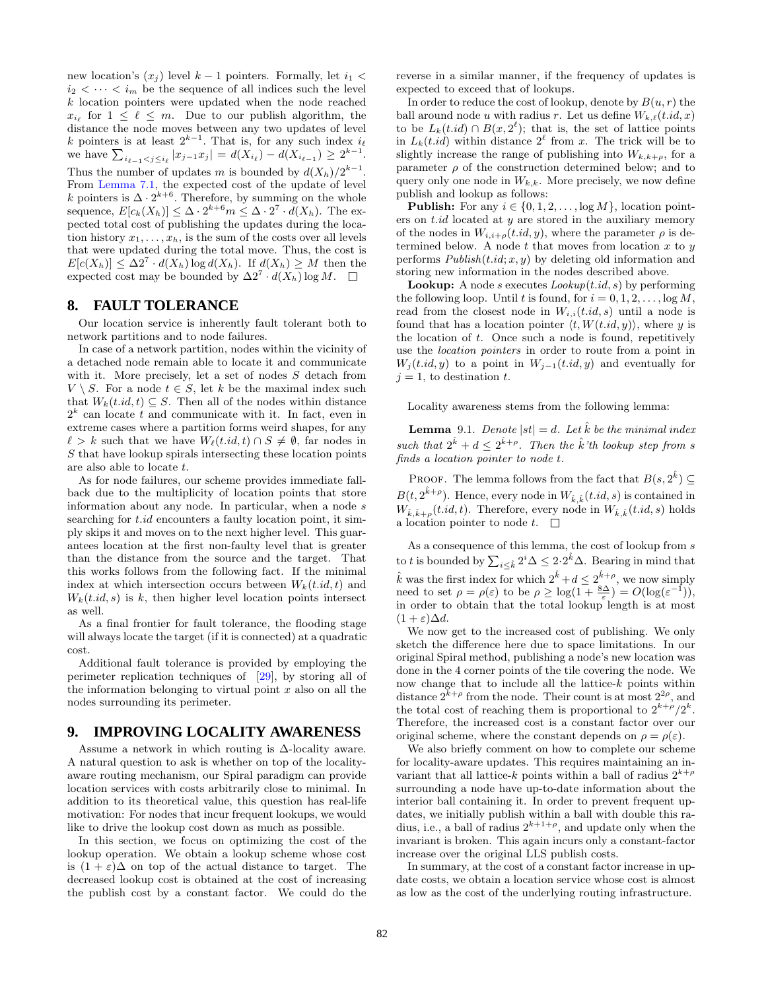new location's  $(x_i)$  level  $k-1$  pointers. Formally, let  $i_1 <$  $i_2 < \cdots < i_m$  be the sequence of all indices such the level k location pointers were updated when the node reached  $x_{i_\ell}$  for  $1 \leq \ell \leq m$ . Due to our publish algorithm, the distance the node moves between any two updates of level k pointers is at least  $2^{k-1}$ . That is, for any such index  $i_{\ell}$ we have  $\sum_{i_{\ell-1} < j \leq i_{\ell}} |x_{j-1}x_j| = d(X_{i_{\ell}}) - d(X_{i_{\ell-1}}) \geq 2^{k-1}$ . Thus the number of updates m is bounded by  $d(X_h)/2^{k-1}$ . From [Lemma 7.1,](#page-6-2) the expected cost of the update of level k pointers is  $\Delta \cdot 2^{k+6}$ . Therefore, by summing on the whole sequence,  $E[c_k(X_h)] \leq \Delta \cdot 2^{k+6} m \leq \Delta \cdot 2^7 \cdot d(X_h)$ . The expected total cost of publishing the updates during the location history  $x_1, \ldots, x_h$ , is the sum of the costs over all levels that were updated during the total move. Thus, the cost is  $E[c(X_h)] \leq \Delta 2^7 \cdot d(X_h) \log d(X_h)$ . If  $d(X_h) \geq M$  then the expected cost may be bounded by  $\Delta 2^7 \cdot d(X_h) \log M$ .

# **8. FAULT TOLERANCE**

Our location service is inherently fault tolerant both to network partitions and to node failures.

In case of a network partition, nodes within the vicinity of a detached node remain able to locate it and communicate with it. More precisely, let a set of nodes S detach from  $V \setminus S$ . For a node  $t \in S$ , let k be the maximal index such that  $W_k(t.id, t) \subseteq S$ . Then all of the nodes within distance  $2<sup>k</sup>$  can locate t and communicate with it. In fact, even in extreme cases where a partition forms weird shapes, for any  $\ell > k$  such that we have  $W_{\ell}(t.id, t) \cap S \neq \emptyset$ , far nodes in S that have lookup spirals intersecting these location points are also able to locate t.

As for node failures, our scheme provides immediate fallback due to the multiplicity of location points that store information about any node. In particular, when a node s searching for  $t.id$  encounters a faulty location point, it simply skips it and moves on to the next higher level. This guarantees location at the first non-faulty level that is greater than the distance from the source and the target. That this works follows from the following fact. If the minimal index at which intersection occurs between  $W_k(t.id, t)$  and  $W_k(t.id, s)$  is k, then higher level location points intersect as well.

As a final frontier for fault tolerance, the flooding stage will always locate the target (if it is connected) at a quadratic cost.

Additional fault tolerance is provided by employing the perimeter replication techniques of [\[29\]](#page-9-14), by storing all of the information belonging to virtual point  $x$  also on all the nodes surrounding its perimeter.

# **9. IMPROVING LOCALITY AWARENESS**

Assume a network in which routing is ∆-locality aware. A natural question to ask is whether on top of the localityaware routing mechanism, our Spiral paradigm can provide location services with costs arbitrarily close to minimal. In addition to its theoretical value, this question has real-life motivation: For nodes that incur frequent lookups, we would like to drive the lookup cost down as much as possible.

In this section, we focus on optimizing the cost of the lookup operation. We obtain a lookup scheme whose cost is  $(1 + \varepsilon)\Delta$  on top of the actual distance to target. The decreased lookup cost is obtained at the cost of increasing the publish cost by a constant factor. We could do the reverse in a similar manner, if the frequency of updates is expected to exceed that of lookups.

In order to reduce the cost of lookup, denote by  $B(u, r)$  the ball around node u with radius r. Let us define  $W_{k,\ell}(t.id, x)$ to be  $L_k(t.id) \cap B(x, 2^{\ell})$ ; that is, the set of lattice points in  $L_k(t.id)$  within distance  $2^{\ell}$  from x. The trick will be to slightly increase the range of publishing into  $W_{k,k+\rho}$ , for a parameter  $\rho$  of the construction determined below; and to query only one node in  $W_{k,k}$ . More precisely, we now define publish and lookup as follows:

**Publish:** For any  $i \in \{0, 1, 2, \ldots, \log M\}$ , location pointers on  $t.id$  located at  $y$  are stored in the auxiliary memory of the nodes in  $W_{i,i+\rho}(t.id, y)$ , where the parameter  $\rho$  is determined below. A node  $t$  that moves from location  $x$  to  $y$ performs  $Published(t.id; x, y)$  by deleting old information and storing new information in the nodes described above.

**Lookup:** A node s executes  $Loop(t.id, s)$  by performing the following loop. Until t is found, for  $i = 0, 1, 2, \ldots$ , log M, read from the closest node in  $W_{i,i}(t.id, s)$  until a node is found that has a location pointer  $\langle t, W(t.id, y) \rangle$ , where y is the location of  $t$ . Once such a node is found, repetitively use the location pointers in order to route from a point in  $W_j(t.id, y)$  to a point in  $W_{j-1}(t.id, y)$  and eventually for  $j = 1$ , to destination t.

Locality awareness stems from the following lemma:

**Lemma** 9.1. Denote  $|st| = d$ . Let  $\hat{k}$  be the minimal index such that  $2^{\hat{k}} + d \leq 2^{\hat{k}+\rho}$ . Then the  $\hat{k}$ 'th lookup step from s finds a location pointer to node t.

PROOF. The lemma follows from the fact that  $B(s, 2^{\hat{k}}) \subseteq$  $B(t, 2^{\hat{k}+\rho})$ . Hence, every node in  $W_{\hat{k}, \hat{k}}(t.id, s)$  is contained in  $W_{\hat{k}, \hat{k}+\rho}(t.id, t)$ . Therefore, every node in  $W_{\hat{k}, \hat{k}}(t.id, s)$  holds a location pointer to node  $t$ .  $\Box$ 

As a consequence of this lemma, the cost of lookup from s to t is bounded by  $\sum_{i \leq \hat{k}} 2^i \Delta \leq 2 \cdot 2^{\hat{k}} \Delta$ . Bearing in mind that  $\hat{k}$  was the first index for which  $2^{\hat{k}} + d \leq 2^{\hat{k}+\rho}$ , we now simply need to set  $\rho = \rho(\varepsilon)$  to be  $\rho \ge \log(1 + \frac{8\Delta}{\varepsilon}) = O(\log(\varepsilon^{-1}))$ , in order to obtain that the total lookup length is at most  $(1+\varepsilon)\Delta d$ .

We now get to the increased cost of publishing. We only sketch the difference here due to space limitations. In our original Spiral method, publishing a node's new location was done in the 4 corner points of the tile covering the node. We now change that to include all the lattice-k points within distance  $2^{\bar{k}+\rho}$  from the node. Their count is at most  $2^{2\rho}$ , and the total cost of reaching them is proportional to  $2^{k+\rho}/2^k$ . Therefore, the increased cost is a constant factor over our original scheme, where the constant depends on  $\rho = \rho(\varepsilon)$ .

We also briefly comment on how to complete our scheme for locality-aware updates. This requires maintaining an invariant that all lattice-k points within a ball of radius  $2^{k+\rho}$ surrounding a node have up-to-date information about the interior ball containing it. In order to prevent frequent updates, we initially publish within a ball with double this radius, i.e., a ball of radius  $2^{k+1+\rho}$ , and update only when the invariant is broken. This again incurs only a constant-factor increase over the original LLS publish costs.

In summary, at the cost of a constant factor increase in update costs, we obtain a location service whose cost is almost as low as the cost of the underlying routing infrastructure.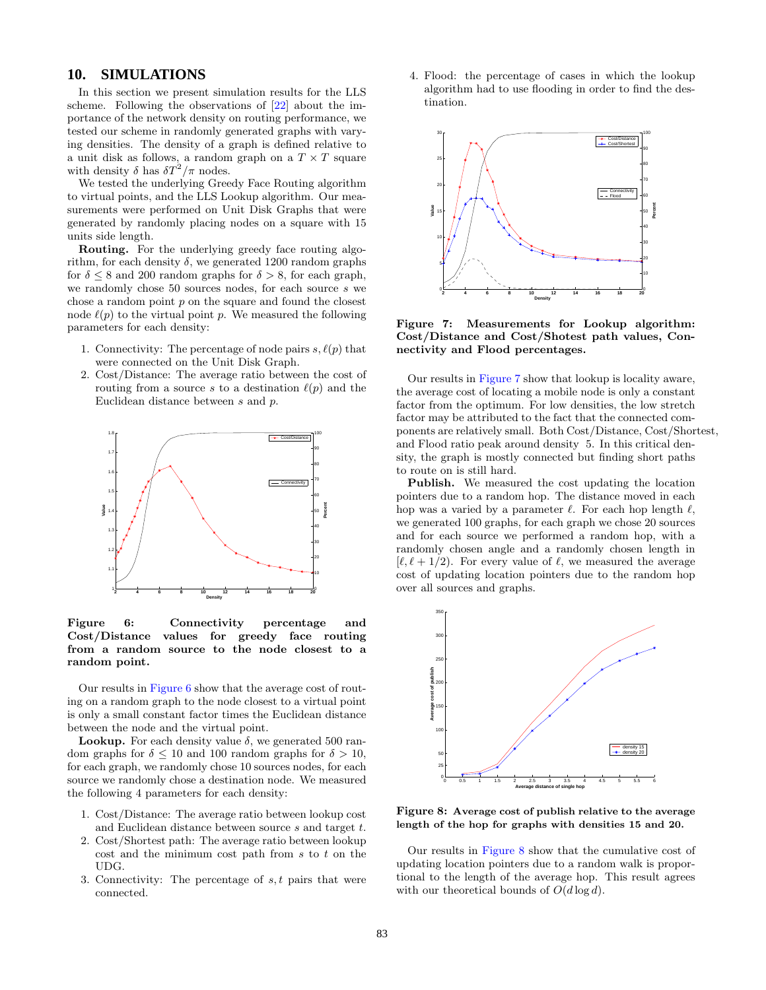# <span id="page-8-0"></span>**10. SIMULATIONS**

In this section we present simulation results for the LLS scheme. Following the observations of [\[22\]](#page-9-9) about the importance of the network density on routing performance, we tested our scheme in randomly generated graphs with varying densities. The density of a graph is defined relative to a unit disk as follows, a random graph on a  $T \times T$  square with density  $\delta$  has  $\delta T^2/\pi$  nodes.

We tested the underlying Greedy Face Routing algorithm to virtual points, and the LLS Lookup algorithm. Our measurements were performed on Unit Disk Graphs that were generated by randomly placing nodes on a square with 15 units side length.

Routing. For the underlying greedy face routing algorithm, for each density  $\delta$ , we generated 1200 random graphs for  $\delta \leq 8$  and 200 random graphs for  $\delta > 8$ , for each graph, we randomly chose 50 sources nodes, for each source s we chose a random point  $p$  on the square and found the closest node  $\ell(p)$  to the virtual point p. We measured the following parameters for each density:

- 1. Connectivity: The percentage of node pairs  $s, \ell(p)$  that were connected on the Unit Disk Graph.
- 2. Cost/Distance: The average ratio between the cost of routing from a source s to a destination  $\ell(p)$  and the Euclidean distance between s and p.



<span id="page-8-1"></span>Figure 6: Connectivity percentage and Cost/Distance values for greedy face routing from a random source to the node closest to a random point.

Our results in [Figure 6](#page-8-1) show that the average cost of routing on a random graph to the node closest to a virtual point is only a small constant factor times the Euclidean distance between the node and the virtual point.

**Lookup.** For each density value  $\delta$ , we generated 500 random graphs for  $\delta \leq 10$  and 100 random graphs for  $\delta > 10$ , for each graph, we randomly chose 10 sources nodes, for each source we randomly chose a destination node. We measured the following 4 parameters for each density:

- 1. Cost/Distance: The average ratio between lookup cost and Euclidean distance between source s and target t.
- 2. Cost/Shortest path: The average ratio between lookup  $\cot$  and the minimum cost path from  $s$  to  $t$  on the UDG.
- 3. Connectivity: The percentage of  $s, t$  pairs that were connected.

4. Flood: the percentage of cases in which the lookup algorithm had to use flooding in order to find the destination.



<span id="page-8-2"></span>Figure 7: Measurements for Lookup algorithm: Cost/Distance and Cost/Shotest path values, Connectivity and Flood percentages.

Our results in [Figure 7](#page-8-2) show that lookup is locality aware, the average cost of locating a mobile node is only a constant factor from the optimum. For low densities, the low stretch factor may be attributed to the fact that the connected components are relatively small. Both Cost/Distance, Cost/Shortest, and Flood ratio peak around density 5. In this critical density, the graph is mostly connected but finding short paths to route on is still hard.

Publish. We measured the cost updating the location pointers due to a random hop. The distance moved in each hop was a varied by a parameter  $\ell$ . For each hop length  $\ell$ , we generated 100 graphs, for each graph we chose 20 sources and for each source we performed a random hop, with a randomly chosen angle and a randomly chosen length in  $[\ell, \ell + 1/2]$ . For every value of  $\ell$ , we measured the average cost of updating location pointers due to the random hop over all sources and graphs.



<span id="page-8-3"></span>Figure 8: Average cost of publish relative to the average length of the hop for graphs with densities 15 and 20.

Our results in [Figure 8](#page-8-3) show that the cumulative cost of updating location pointers due to a random walk is proportional to the length of the average hop. This result agrees with our theoretical bounds of  $O(d \log d)$ .